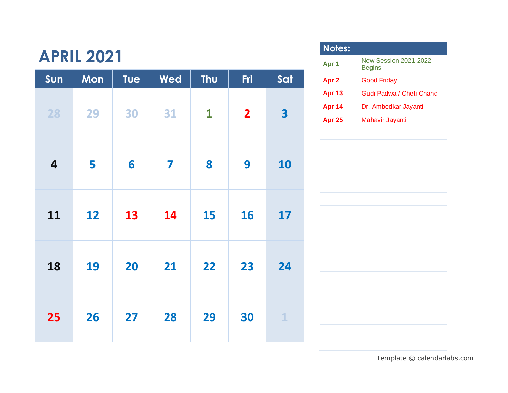| Sun                     | Mon | <b>Tue</b> | Wed                     | Thu          | Fri                     | Sat          |
|-------------------------|-----|------------|-------------------------|--------------|-------------------------|--------------|
| 28                      | 29  | 30         | 31                      | $\mathbf{1}$ | $\overline{\mathbf{2}}$ | 3            |
| $\overline{\mathbf{4}}$ | 5   | 6          | $\overline{\mathbf{Z}}$ | 8            | 9                       | 10           |
| 11                      | 12  | 13         | 14                      | 15           | 16                      | 17           |
| 18                      | 19  | 20         | 21                      | 22           | 23                      | 24           |
| 25                      | 26  | 27         | 28                      | 29           | 30                      | $\mathbf{1}$ |

| <b>Notes:</b>    |                                               |
|------------------|-----------------------------------------------|
| Apr 1            | <b>New Session 2021-2022</b><br><b>Begins</b> |
| Apr <sub>2</sub> | <b>Good Friday</b>                            |
| <b>Apr 13</b>    | Gudi Padwa / Cheti Chand                      |
| <b>Apr 14</b>    | Dr. Ambedkar Jayanti                          |
| <b>Apr 25</b>    | Mahavir Jayanti                               |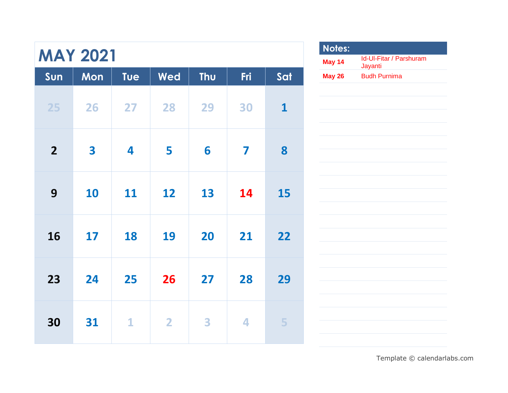| <b>MAY 2021</b>         |     |              |                |     |     |              |                                  |
|-------------------------|-----|--------------|----------------|-----|-----|--------------|----------------------------------|
| Sun                     | Mon | Tue          | Wed            | Thu | Fri | Sat          |                                  |
| 25                      | 26  | 27           | 28             | 29  | 30  | $\mathbf{1}$ |                                  |
| $\overline{\mathbf{2}}$ | 3   | 4            | 5              | 6   | 7   | 8            | ł                                |
| 9                       | 10  | 11           | 12             | 13  | 14  | 15           | Ļ<br>$\overline{a}$              |
| 16                      | 17  | 18           | 19             | 20  | 21  | 22           | $\overline{a}$<br>$\overline{a}$ |
| 23                      | 24  | 25           | 26             | 27  | 28  | 29           | $\overline{a}$                   |
| 30                      | 31  | $\mathbf{1}$ | $\overline{2}$ | 3   | 4   | 5            | ÷                                |

| Notes: |                                    |
|--------|------------------------------------|
| May 14 | Id-UI-Fitar / Parshuram<br>Jayanti |
| May 26 | <b>Budh Purnima</b>                |
|        |                                    |
|        |                                    |
|        |                                    |
|        |                                    |
|        |                                    |
|        |                                    |
|        |                                    |
|        |                                    |
|        |                                    |
|        |                                    |
|        |                                    |
|        |                                    |
|        |                                    |
|        |                                    |
|        |                                    |
|        |                                    |
|        |                                    |
|        |                                    |
|        |                                    |
|        |                                    |
|        |                                    |
|        |                                    |
|        |                                    |
|        |                                    |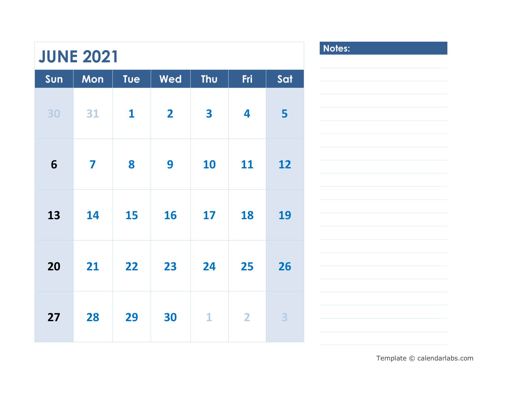| <b>JUNE 2021</b> | Notes: |              |                         |                         |                         |     |  |
|------------------|--------|--------------|-------------------------|-------------------------|-------------------------|-----|--|
| Sun              | Mon    | Tue          | Wed                     | Thu                     | Fri                     | Sat |  |
| 30               | 31     | $\mathbf{1}$ | $\overline{\mathbf{2}}$ | $\overline{\mathbf{3}}$ | 4                       | 5   |  |
| 6                | 7      | 8            | 9                       | 10                      | 11                      | 12  |  |
| 13               | 14     | 15           | 16                      | 17                      | 18                      | 19  |  |
| 20               | 21     | 22           | 23                      | 24                      | 25                      | 26  |  |
| 27               | 28     | 29           | 30                      | $\mathbf{1}$            | $\overline{\mathbf{2}}$ | 3   |  |

**Notes:**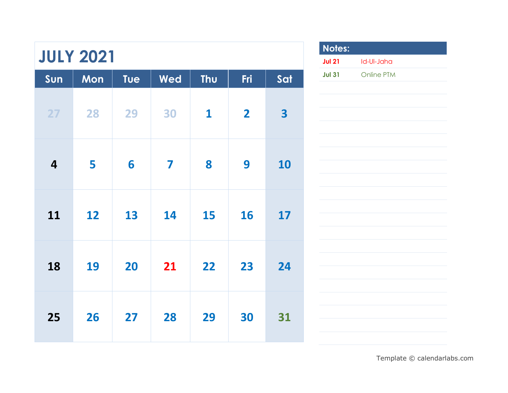| <b>JULY 2021</b>        |     |     |     |              |                |     | <b>Notes</b><br><b>Jul 21</b> |
|-------------------------|-----|-----|-----|--------------|----------------|-----|-------------------------------|
| Sun                     | Mon | Tue | Wed | Thu          | Fri            | Sat | <b>Jul 31</b>                 |
| 27                      | 28  | 29  | 30  | $\mathbf{1}$ | $\overline{2}$ | 3   |                               |
| $\overline{\mathbf{4}}$ | 5   | 6   | 7   | 8            | 9              | 10  |                               |
| 11                      | 12  | 13  | 14  | 15           | 16             | 17  |                               |
| 18                      | 19  | 20  | 21  | 22           | 23             | 24  |                               |
| 25                      | 26  | 27  | 28  | 29           | 30             | 31  |                               |

**Notes: Jul 21** Id-Ul-Jaha **Jul 31** Online PTM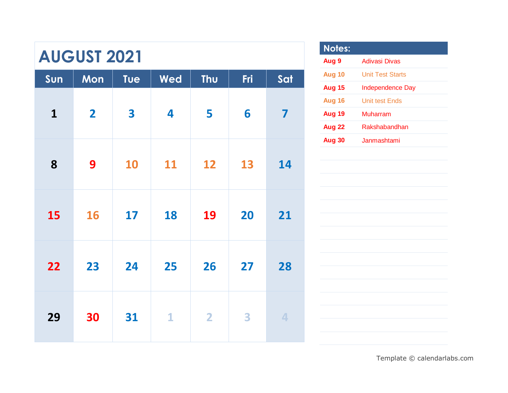|              | <b>AUGUST 2021</b> |           |              |                         |     |                         |                                |
|--------------|--------------------|-----------|--------------|-------------------------|-----|-------------------------|--------------------------------|
| Sun          | Mon                | Tue       | Wed          | Thu                     | Fri | Sat                     |                                |
| $\mathbf{1}$ | $\overline{2}$     | 3         | 4            | 5                       | 6   | $\overline{\mathbf{z}}$ | $\frac{1}{2}$<br>$\frac{1}{2}$ |
| 8            | 9                  | <b>10</b> | 11           | 12                      | 13  | 14                      |                                |
| 15           | 16                 | 17        | 18           | 19                      | 20  | 21                      |                                |
| 22           | 23                 | 24        | 25           | 26                      | 27  | 28                      |                                |
| 29           | 30                 | 31        | $\mathbf{1}$ | $\overline{\mathbf{2}}$ | 3   | 4                       |                                |

| <b>Notes:</b> |                         |
|---------------|-------------------------|
| Aug 9         | <b>Adivasi Divas</b>    |
| Aug 10        | <b>Unit Test Starts</b> |
| <b>Aug 15</b> | <b>Independence Day</b> |
| Aug 16        | <b>Unit test Ends</b>   |
| Aug 19        | Muharram                |
| Aug 22        | Rakshabandhan           |
| <b>Aug 30</b> | Janmashtami             |
|               |                         |
|               |                         |
|               |                         |
|               |                         |
|               |                         |
|               |                         |
|               |                         |
|               |                         |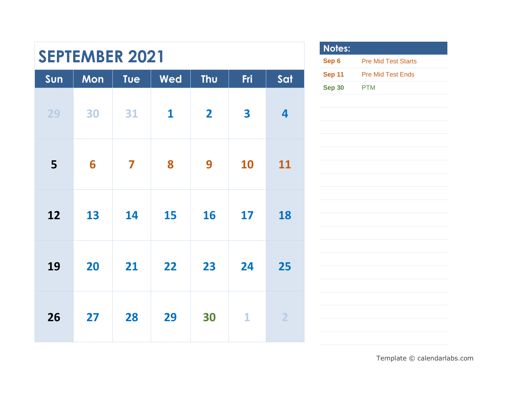| <b>SEPTEMBER 2021</b> |     |            |              |                         |              | <b>N</b><br><b>Se</b>   |                        |
|-----------------------|-----|------------|--------------|-------------------------|--------------|-------------------------|------------------------|
| Sun                   | Mon | <b>Tue</b> | Wed          | Thu                     | Fri          | Sat                     | <b>Se</b><br><b>Se</b> |
| 29                    | 30  | 31         | $\mathbf{1}$ | $\overline{\mathbf{2}}$ | 3            | $\overline{\mathbf{4}}$ |                        |
| 5                     | 6   | 7          | 8            | 9                       | 10           | 11                      |                        |
| 12                    | 13  | 14         | 15           | 16                      | 17           | 18                      |                        |
| 19                    | 20  | 21         | 22           | 23                      | 24           | 25                      |                        |
| 26                    | 27  | 28         | 29           | 30                      | $\mathbf{1}$ | $\overline{2}$          |                        |

Г

| Notes:        |                            |
|---------------|----------------------------|
| Sep 6         | <b>Pre Mid Test Starts</b> |
| <b>Sep 11</b> | <b>Pre Mid Test Ends</b>   |
| <b>Sep 30</b> | <b>PTM</b>                 |
|               |                            |
|               |                            |
|               |                            |
|               |                            |
|               |                            |
|               |                            |
|               |                            |
|               |                            |
|               |                            |
|               |                            |
|               |                            |
|               |                            |
|               |                            |
|               |                            |
|               |                            |
|               |                            |
|               |                            |
|               |                            |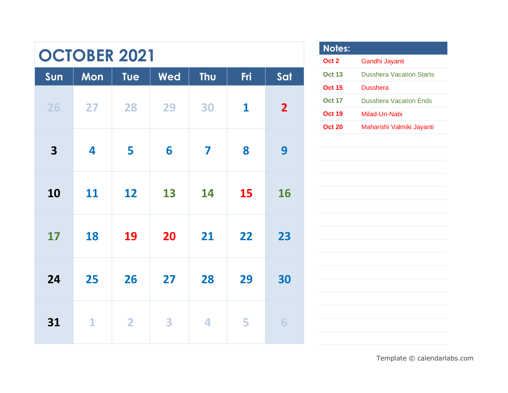# **OCTOBER 2021**

| Sun | Mon          | Tue            | Wed | Thu | Fri          | Sat                     |
|-----|--------------|----------------|-----|-----|--------------|-------------------------|
| 26  | 27           | 28             | 29  | 30  | $\mathbf{1}$ | $\overline{\mathbf{2}}$ |
| 3   | 4            | 5              | 6   | 7   | 8            | 9                       |
| 10  | 11           | 12             | 13  | 14  | 15           | 16                      |
| 17  | 18           | 19             | 20  | 21  | 22           | 23                      |
| 24  | 25           | 26             | 27  | 28  | 29           | 30                      |
| 31  | $\mathbf{1}$ | $\overline{2}$ | 3   | 4   | 5            | 6                       |

| Notes:           |                                 |
|------------------|---------------------------------|
| Oct <sub>2</sub> | Gandhi Jayanti                  |
| <b>Oct 13</b>    | <b>Dusshera Vacation Starts</b> |
| <b>Oct 15</b>    | <b>Dusshera</b>                 |
| <b>Oct 17</b>    | <b>Dusshera Vacation Ends</b>   |
| <b>Oct 19</b>    | Milad-Un-Nabi                   |
| <b>Oct 20</b>    | Maharishi Valmiki Jayanti       |
|                  |                                 |
|                  |                                 |
|                  |                                 |
|                  |                                 |
|                  |                                 |
|                  |                                 |
|                  |                                 |
|                  |                                 |
|                  |                                 |
|                  |                                 |
|                  |                                 |
|                  |                                 |
|                  |                                 |
|                  |                                 |
|                  |                                 |
|                  |                                 |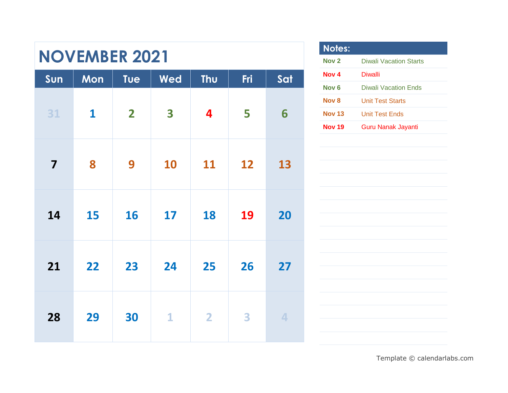| <b>NOVEMBER 2021</b>    |              |              |              |                |     |     |
|-------------------------|--------------|--------------|--------------|----------------|-----|-----|
| Sun                     | Mon          | Tue          | Wed          | Thu            | Fri | Sat |
| 31                      | $\mathbf{1}$ | $\mathbf{2}$ | 3            | 4              | 5   | 6   |
| $\overline{\mathbf{7}}$ | 8            | 9            | 10           | 11             | 12  | 13  |
| 14                      | 15           | 16           | 17           | 18             | 19  | 20  |
| 21                      | 22           | 23           | 24           | 25             | 26  | 27  |
| 28                      | 29           | 30           | $\mathbf{1}$ | $\overline{2}$ | 3   | 4   |

| <b>Notes:</b>    |                           |
|------------------|---------------------------|
| Nov <sub>2</sub> | Diwali Vacation Starts    |
| Nov 4            | Diwalli                   |
| Nov 6            | Diwali Vacation Ends      |
| Nov <sub>8</sub> | Unit Test Starts          |
| <b>Nov 13</b>    | Unit Test Ends            |
| <b>Nov 19</b>    | <b>Guru Nanak Jayanti</b> |
|                  |                           |
|                  |                           |
|                  |                           |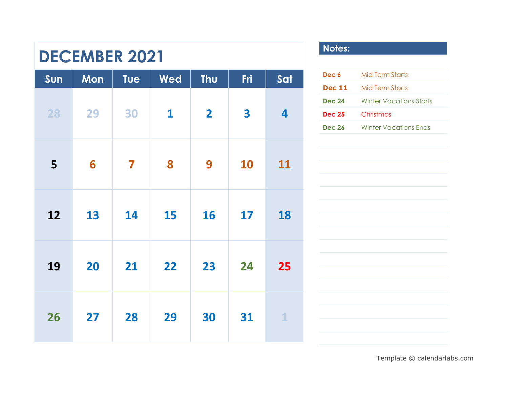### **DECEMBER 2021**

| Sun | Mon | Tue                     | Wed          | Thu                     | Fri | Sat            |  |
|-----|-----|-------------------------|--------------|-------------------------|-----|----------------|--|
| 28  | 29  | 30                      | $\mathbf{1}$ | $\overline{\mathbf{2}}$ | 3   | $\overline{4}$ |  |
| 5   | 6   | $\overline{\mathbf{z}}$ | 8            | 9                       | 10  | 11             |  |
| 12  | 13  | 14                      | 15           | 16                      | 17  | 18             |  |
| 19  | 20  | 21                      | 22           | 23                      | 24  | 25             |  |
| 26  | 27  | 28                      | 29           | 30                      | 31  | $\mathbf{1}$   |  |

#### **Notes:**

| Dec 6         | <b>Mid Term Starts</b>         |
|---------------|--------------------------------|
| <b>Dec 11</b> | <b>Mid Term Starts</b>         |
| <b>Dec 24</b> | <b>Winter Vacations Starts</b> |
| <b>Dec 25</b> | Christmas                      |
| <b>Dec 26</b> | <b>Winter Vacations Ends</b>   |
|               |                                |
|               |                                |
|               |                                |
|               |                                |
|               |                                |
|               |                                |
|               |                                |
|               |                                |
|               |                                |
|               |                                |
|               |                                |
|               |                                |
|               |                                |
|               |                                |
|               |                                |
|               |                                |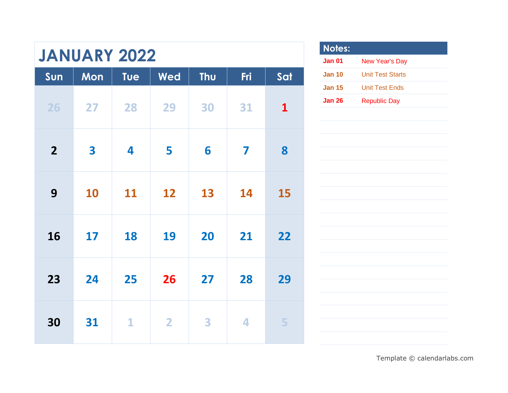# **JANUARY 2022**

| Sun            | Mon | Tue | Wed            | Thu | Fri | Sat          |
|----------------|-----|-----|----------------|-----|-----|--------------|
| 26             | 27  | 28  | 29             | 30  | 31  | $\mathbf{1}$ |
| $\overline{2}$ | 3   | 4   | 5              | 6   | 7   | 8            |
| 9              | 10  | 11  | 12             | 13  | 14  | 15           |
| 16             | 17  | 18  | 19             | 20  | 21  | 22           |
| 23             | 24  | 25  | 26             | 27  | 28  | 29           |
| 30             | 31  | 1   | $\overline{2}$ | 3   | 4   | 5            |

| <b>Notes:</b> |                       |
|---------------|-----------------------|
| Jan 01        | <b>New Year's Day</b> |
| <b>Jan 10</b> | Unit Test Starts      |
| <b>Jan 15</b> | Unit Test Ends        |
| Jan 26        | <b>Republic Day</b>   |
|               |                       |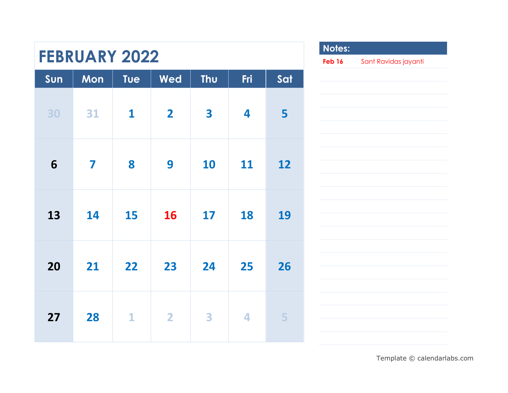|     | <b>FEBRUARY 2022</b> |              |                         |     |     |     | <b>Note</b><br>Feb 1 |
|-----|----------------------|--------------|-------------------------|-----|-----|-----|----------------------|
| Sun | Mon                  | Tue          | <b>Wed</b>              | Thu | Fri | Sat |                      |
| 30  | 31                   | $\mathbf{1}$ | $\overline{\mathbf{2}}$ | 3   | 4   | 5   |                      |
| 6   | 7                    | 8            | 9                       | 10  | 11  | 12  |                      |
| 13  | 14                   | 15           | 16                      | 17  | 18  | 19  |                      |
| 20  | 21                   | 22           | 23                      | 24  | 25  | 26  |                      |
| 27  | 28                   | $\mathbf{1}$ | $\overline{\mathbf{2}}$ | 3   | 4   | 5   |                      |

Г

| Notes:<br>Feb 16 | Sant Ravidas jayanti |
|------------------|----------------------|
|                  |                      |
|                  |                      |
|                  |                      |
|                  |                      |
|                  |                      |
|                  |                      |
|                  |                      |
|                  |                      |
|                  |                      |
|                  |                      |
|                  |                      |
|                  |                      |
|                  |                      |
|                  |                      |
|                  |                      |
|                  |                      |
|                  |                      |
|                  |                      |
|                  |                      |
|                  |                      |
|                  |                      |
|                  |                      |
|                  |                      |
|                  |                      |
|                  |                      |
|                  |                      |
|                  |                      |
|                  |                      |
|                  |                      |